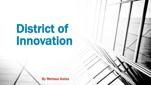## District of Innovation

By Melissa Kates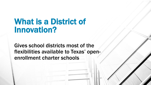## What is a District of Innovation?

Gives school districts most of the flexibilities available to Texas' openenrollment charter schools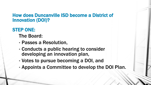#### How does Duncanville ISD become a District of Innovation (DOI)?

#### STEP ONE:

The Board:

- Passes a Resolution,
- Conducts a public hearing to consider developing an innovation plan,
- Votes to pursue becoming a DOI, and
- Appoints a Committee to develop the DOI Plan.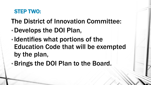### STEP TWO:

- The District of Innovation Committee:
- •Develops the DOI Plan,
- •Identifies what portions of the Education Code that will be exempted by the plan,
- •Brings the DOI Plan to the Board.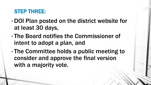## STEP THREE:

- DOI Plan posted on the district website for at least 30 days,
- The Board notifies the Commissioner of intent to adopt a plan, and
- The Committee holds a public meeting to consider and approve the final version with a majority vote.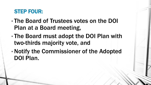## STEP FOUR:

- The Board of Trustees votes on the DOI Plan at a Board meeting,
- The Board must adopt the DOI Plan with two-thirds majority vote, and
- Notify the Commissioner of the Adopted DOI Plan.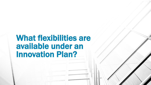## What flexibilities are available under an Innovation Plan?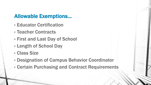## Allowable Exemptions…

- Educator Certification
- Teacher Contracts
- First and Last Day of School
- Length of School Day
- Class Size
- Designation of Campus Behavior Coordinator
- Certain Purchasing and Contract Requirements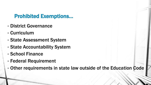## Prohibited Exemptions…

- District Governance
- Curriculum
- State Assessment System
- State Accountability System
- School Finance
- Federal Requirement
- Other requirements in state law outside of the Education Code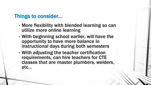### Things to consider…

- More flexibility with blended learning so can utilize more online learning
- With beginning school earlier, will have the opportunity to have more balance in instructional days during both semesters
- With adjusting the teacher certification requirements, can hire teachers for CTE classes that are master plumbers, welders, etc…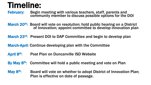## Timeline:

February: Begin meeting with various teachers, staff, parents and community member to discuss possible options for the DOI

March 20<sup>th</sup>: Board will vote on resolution; hold public hearing on a District of Innovation; appoint committee to develop innovation plan

March 23<sup>rd</sup>: Present DOI to DAP Committee and begin to develop plan

March-April: Continue developing plan with the Committee

- April 8th: Post Plan on Duncanville ISD Website
- By May 8<sup>th</sup>: Committee will hold a public meeting and vote on Plan

May 8<sup>th</sup>: Board will vote on whether to adopt District of Innovation Plan; Plan is effective on date of passage.